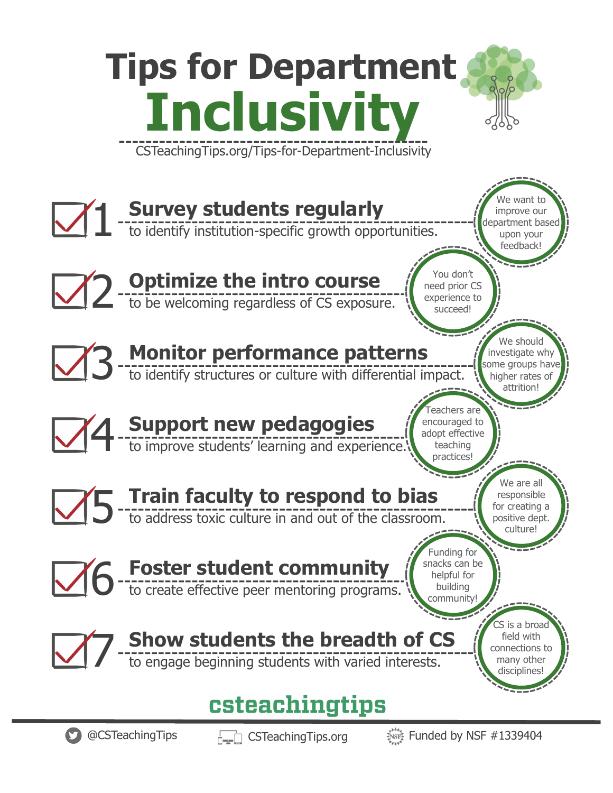#### **Tips for Department Inclusivity** CSTeachingTips.org/Tips-for-Department-Inclusivity e want to I Survey students regularly<br>to identify institution-specific growth opportunities. **Survey students regularly** improve our department based upon your feedback! You don't 2 **Optimize the intro course**<br>2 to be welcoming regardless of CS exposure. **Optimize the intro course** need prior CS experience to succeed! We should 3 **Monitor performance patterns** investigate why ome groups have to identify structures or culture with differential impact. higher rates of attrition! achers are 4 **Support new pedagogies** encouraged to adopt effective teaching to improve students' learning and experience. practices!We are all 5 **Train faculty to respond to bias** responsible for creating a to address toxic culture in and out of the classroom. positive dept. culture! Funding for 6 **Foster student community** snacks can be helpful for to create effective peer mentoring programs. building community! S is a broad 7 **Show students the breadth of CS** field with connections to to engage beginning students with varied interests. many other disciplines! csteachingtips